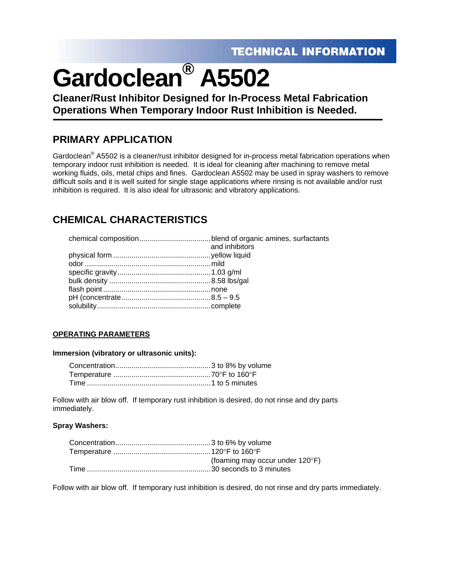# **TECHNICAL INFORMATION**

# **Gardoclean® A5502**

**Cleaner/Rust Inhibitor Designed for In-Process Metal Fabrication Operations When Temporary Indoor Rust Inhibition is Needed.** 

# **PRIMARY APPLICATION**

Gardoclean<sup>®</sup> A5502 is a cleaner/rust inhibitor designed for in-process metal fabrication operations when temporary indoor rust inhibition is needed. It is ideal for cleaning after machining to remove metal working fluids, oils, metal chips and fines. Gardoclean A5502 may be used in spray washers to remove difficult soils and it is well suited for single stage applications where rinsing is not available and/or rust inhibition is required. It is also ideal for ultrasonic and vibratory applications.

# **CHEMICAL CHARACTERISTICS**

| and inhibitors |
|----------------|
|                |
|                |
|                |
|                |
|                |
|                |
|                |

#### **OPERATING PARAMETERS**

#### **Immersion (vibratory or ultrasonic units):**

Follow with air blow off. If temporary rust inhibition is desired, do not rinse and dry parts immediately.

#### **Spray Washers:**

| (foaming may occur under $120^{\circ}$ F) |
|-------------------------------------------|
|                                           |

Follow with air blow off. If temporary rust inhibition is desired, do not rinse and dry parts immediately.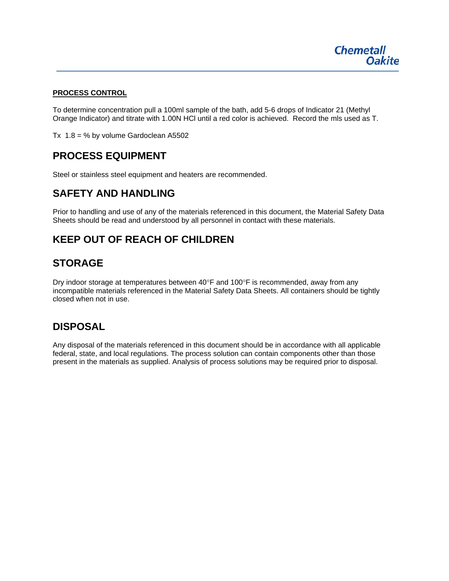

#### **PROCESS CONTROL**

To determine concentration pull a 100ml sample of the bath, add 5-6 drops of Indicator 21 (Methyl Orange Indicator) and titrate with 1.00N HCl until a red color is achieved. Record the mls used as T.

Tx  $1.8 = %$  by volume Gardoclean A5502

### **PROCESS EQUIPMENT**

Steel or stainless steel equipment and heaters are recommended.

## **SAFETY AND HANDLING**

Prior to handling and use of any of the materials referenced in this document, the Material Safety Data Sheets should be read and understood by all personnel in contact with these materials.

## **KEEP OUT OF REACH OF CHILDREN**

# **STORAGE**

Dry indoor storage at temperatures between 40°F and 100°F is recommended, away from any incompatible materials referenced in the Material Safety Data Sheets. All containers should be tightly closed when not in use.

## **DISPOSAL**

Any disposal of the materials referenced in this document should be in accordance with all applicable federal, state, and local regulations. The process solution can contain components other than those present in the materials as supplied. Analysis of process solutions may be required prior to disposal.